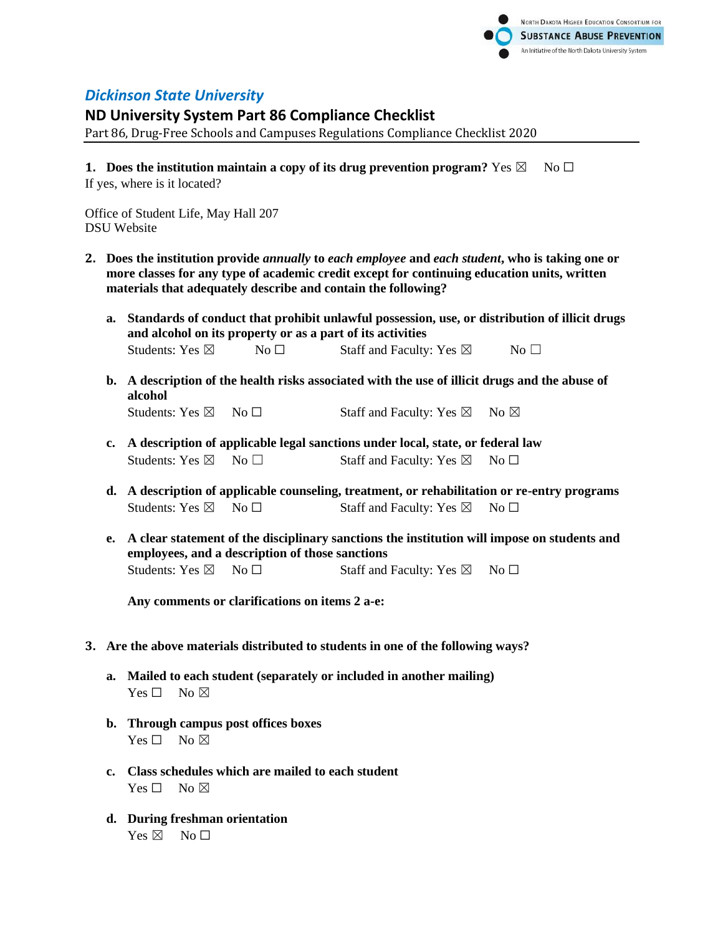

## *Dickinson State University*

## **ND University System Part 86 Compliance Checklist**

Part 86, Drug-Free Schools and Campuses Regulations Compliance Checklist 2020

**1.** Does the institution maintain a copy of its drug prevention program? Yes  $\boxtimes$  No  $\Box$ If yes, where is it located?

Office of Student Life, May Hall 207 DSU Website

- **2. Does the institution provide** *annually* **to** *each employee* **and** *each student***, who is taking one or more classes for any type of academic credit except for continuing education units, written materials that adequately describe and contain the following?**
	- **a. Standards of conduct that prohibit unlawful possession, use, or distribution of illicit drugs and alcohol on its property or as a part of its activities** Students: Yes  $\boxtimes$  No  $\Box$  Staff and Faculty: Yes  $\boxtimes$  No  $\Box$
	- **b. A description of the health risks associated with the use of illicit drugs and the abuse of alcohol** Students: Yes  $\boxtimes$  No  $\Box$  Staff and Faculty: Yes  $\boxtimes$  No  $\boxtimes$
	- **c. A description of applicable legal sanctions under local, state, or federal law** Students: Yes  $\boxtimes$  No  $\Box$  Staff and Faculty: Yes  $\boxtimes$  No  $\Box$
	- **d. A description of applicable counseling, treatment, or rehabilitation or re-entry programs** Students: Yes  $\boxtimes$  No  $\Box$  Staff and Faculty: Yes  $\boxtimes$  No  $\Box$
	- **e. A clear statement of the disciplinary sanctions the institution will impose on students and employees, and a description of those sanctions** Students: Yes  $\boxtimes$  No  $\Box$  Staff and Faculty: Yes  $\boxtimes$  No  $\Box$

**Any comments or clarifications on items 2 a-e:**

- **3. Are the above materials distributed to students in one of the following ways?**
	- **a. Mailed to each student (separately or included in another mailing)**  $Yes \Box$  No  $\boxtimes$
	- **b. Through campus post offices boxes**  $Yes \Box No \boxtimes$
	- **c. Class schedules which are mailed to each student**  $Yes \Box No \boxtimes$
	- **d. During freshman orientation**  $Yes \boxtimes \cong No \square$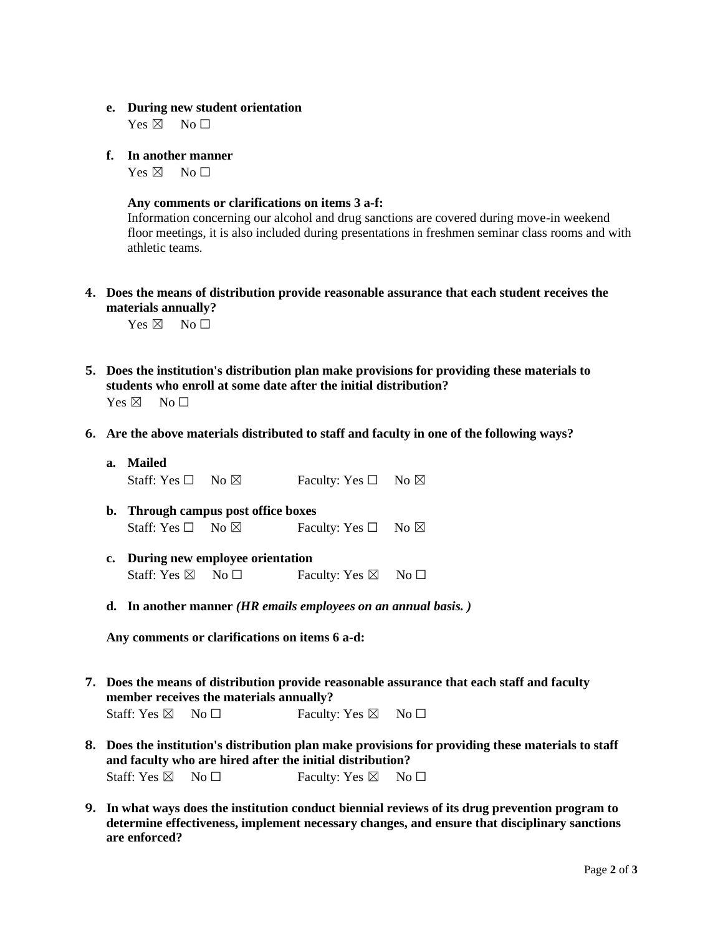## **e. During new student orientation**

 $Yes \boxtimes \neg No \Box$ 

**f. In another manner** 

 $Yes \boxtimes \cong No \square$ 

## **Any comments or clarifications on items 3 a-f:**

Information concerning our alcohol and drug sanctions are covered during move-in weekend floor meetings, it is also included during presentations in freshmen seminar class rooms and with athletic teams.

**4. Does the means of distribution provide reasonable assurance that each student receives the materials annually?**

 $Yes \boxtimes \cong No \square$ 

- **5. Does the institution's distribution plan make provisions for providing these materials to students who enroll at some date after the initial distribution?**  $Yes \boxtimes \cong No \square$
- **6. Are the above materials distributed to staff and faculty in one of the following ways?**
	- **a. Mailed**

Staff: Yes  $\Box$  No  $\boxtimes$  Faculty: Yes  $\Box$  No  $\boxtimes$ 

- **b. Through campus post office boxes** Staff: Yes  $\Box$  No  $\boxtimes$  Faculty: Yes  $\Box$  No  $\boxtimes$
- **c. During new employee orientation** Staff: Yes  $\boxtimes$  No  $\Box$  Faculty: Yes  $\boxtimes$  No  $\Box$
- **d. In another manner** *(HR emails employees on an annual basis. )*

**Any comments or clarifications on items 6 a-d:**

- **7. Does the means of distribution provide reasonable assurance that each staff and faculty member receives the materials annually?** Staff: Yes  $\boxtimes$  No  $\Box$  Faculty: Yes  $\boxtimes$  No  $\Box$
- **8. Does the institution's distribution plan make provisions for providing these materials to staff and faculty who are hired after the initial distribution?** Staff: Yes  $\boxtimes$  No  $\Box$  Faculty: Yes  $\boxtimes$  No  $\Box$
- **9. In what ways does the institution conduct biennial reviews of its drug prevention program to determine effectiveness, implement necessary changes, and ensure that disciplinary sanctions are enforced?**